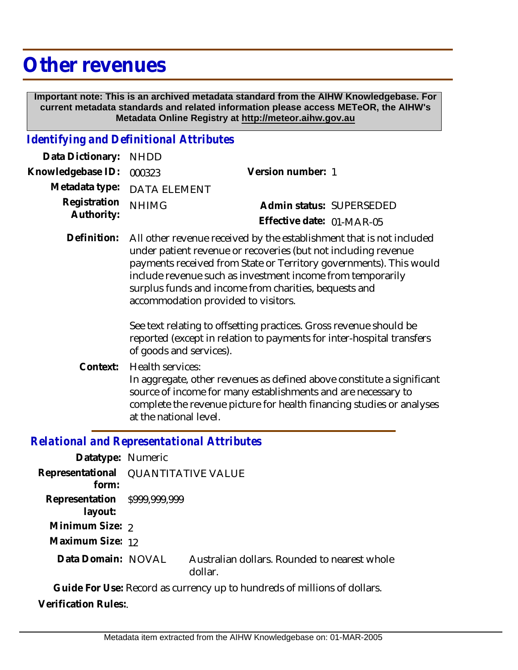## **Other revenues**

 **Important note: This is an archived metadata standard from the AIHW Knowledgebase. For current metadata standards and related information please access METeOR, the AIHW's Metadata Online Registry at http://meteor.aihw.gov.au**

## *Identifying and Definitional Attributes*

| Data Dictionary: NHDD            |                             |                           |  |
|----------------------------------|-----------------------------|---------------------------|--|
| Knowledgebase ID: 000323         |                             | Version number: 1         |  |
|                                  | Metadata type: DATA ELEMENT |                           |  |
| Registration NHIMG<br>Authority: |                             | Admin status: SUPERSEDED  |  |
|                                  |                             | Effective date: 01-MAR-05 |  |

Definition: All other revenue received by the establishment that is not included under patient revenue or recoveries (but not including revenue payments received from State or Territory governments). This would include revenue such as investment income from temporarily surplus funds and income from charities, bequests and accommodation provided to visitors.

> See text relating to offsetting practices. Gross revenue should be reported (except in relation to payments for inter-hospital transfers of goods and services).

Health services: In aggregate, other revenues as defined above constitute a significant source of income for many establishments and are necessary to complete the revenue picture for health financing studies or analyses at the national level. **Context:**

## *Relational and Representational Attributes*

| Datatype: Numeric                       |                                     |                                                         |  |
|-----------------------------------------|-------------------------------------|---------------------------------------------------------|--|
| form:                                   | Representational QUANTITATIVE VALUE |                                                         |  |
| Representation \$999,999,999<br>layout: |                                     |                                                         |  |
| Minimum Size: 2                         |                                     |                                                         |  |
| Maximum Size: 12                        |                                     |                                                         |  |
| Data Domain: NOVAL                      |                                     | Australian dollars. Rounded to nearest whole<br>dollar. |  |
|                                         |                                     |                                                         |  |

**Guide For Use:** Record as currency up to hundreds of millions of dollars. **Verification Rules:**.